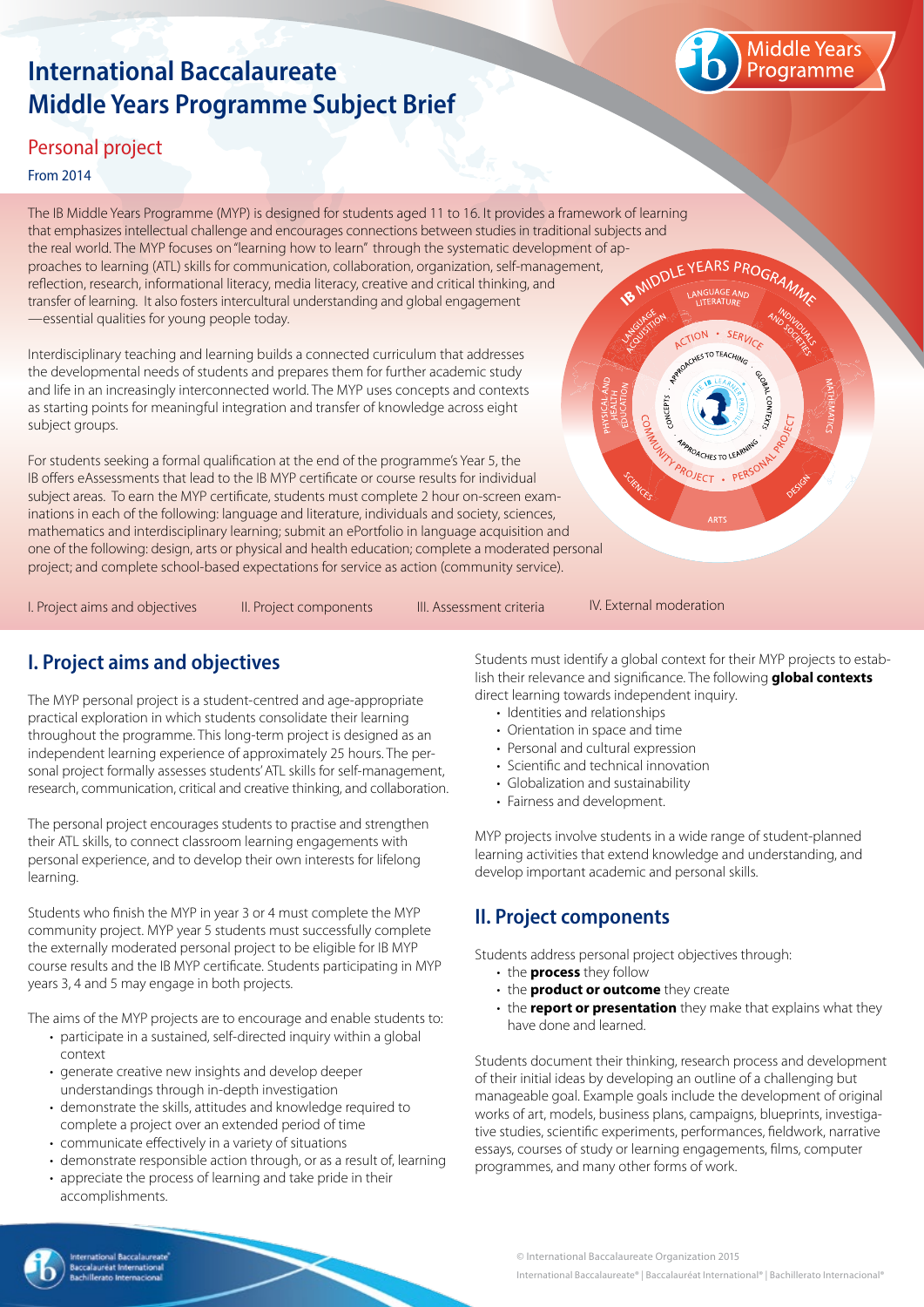# **International Baccalaureate Middle Years Programme Subject Brief**



 $\cdot$  SFRI  $-70$ TFAC

WITH PROJECT . PER

### Personal project

#### From 2014

The IB Middle Years Programme (MYP) is designed for students aged 11 to 16. It provides a framework of learning that emphasizes intellectual challenge and encourages connections between studies in traditional subjects and the real world. The MYP focuses on "learning how to learn" through the systematic development of ap-<br>proaches to learning (ATL) skills for communication, collaboration, organization, self-management,<br>reflection, research, proaches to learning (ATL) skills for communication, collaboration, organization, self-management, reflection, research, informational literacy, media literacy, creative and critical thinking, and transfer of learning. It also fosters intercultural understanding and global engagement —essential qualities for young people today. CTION

Interdisciplinary teaching and learning builds a connected curriculum that addresses the developmental needs of students and prepares them for further academic study and life in an increasingly interconnected world. The MYP uses concepts and contexts as starting points for meaningful integration and transfer of knowledge across eight subject groups.

For students seeking a formal qualification at the end of the programme's Year 5, the IB offers eAssessments that lead to the IB MYP certificate or course results for individual subject areas. To earn the MYP certificate, students must complete 2 hour on-screen examinations in each of the following: language and literature, individuals and society, sciences, mathematics and interdisciplinary learning; submit an ePortfolio in language acquisition and one of the following: design, arts or physical and health education; complete a moderated personal project; and complete school-based expectations for service as action (community service).

I. Project aims and objectives II. Project components III. Assessment criteria IV. External moderation

# **I. Project aims and objectives**

The MYP personal project is a student-centred and age-appropriate practical exploration in which students consolidate their learning throughout the programme. This long-term project is designed as an independent learning experience of approximately 25 hours. The personal project formally assesses students' ATL skills for self-management, research, communication, critical and creative thinking, and collaboration.

The personal project encourages students to practise and strengthen their ATL skills, to connect classroom learning engagements with personal experience, and to develop their own interests for lifelong learning.

Students who finish the MYP in year 3 or 4 must complete the MYP community project. MYP year 5 students must successfully complete the externally moderated personal project to be eligible for IB MYP course results and the IB MYP certificate. Students participating in MYP years 3, 4 and 5 may engage in both projects.

The aims of the MYP projects are to encourage and enable students to:

- participate in a sustained, self-directed inquiry within a global context
- generate creative new insights and develop deeper understandings through in-depth investigation
- demonstrate the skills, attitudes and knowledge required to complete a project over an extended period of time
- communicate effectively in a variety of situations
- demonstrate responsible action through, or as a result of, learning
- appreciate the process of learning and take pride in their accomplishments.

Students must identify a global context for their MYP projects to establish their relevance and significance. The following **global contexts** direct learning towards independent inquiry.

- Identities and relationships
- Orientation in space and time
- Personal and cultural expression
- Scientific and technical innovation
- Globalization and sustainability
- Fairness and development.

MYP projects involve students in a wide range of student-planned learning activities that extend knowledge and understanding, and develop important academic and personal skills.

## **II. Project components**

Students address personal project objectives through:

- • the **process** they follow
- • the **product or outcome** they create
- the **report or presentation** they make that explains what they have done and learned.

Students document their thinking, research process and development of their initial ideas by developing an outline of a challenging but manageable goal. Example goals include the development of original works of art, models, business plans, campaigns, blueprints, investigative studies, scientific experiments, performances, fieldwork, narrative essays, courses of study or learning engagements, films, computer programmes, and many other forms of work.